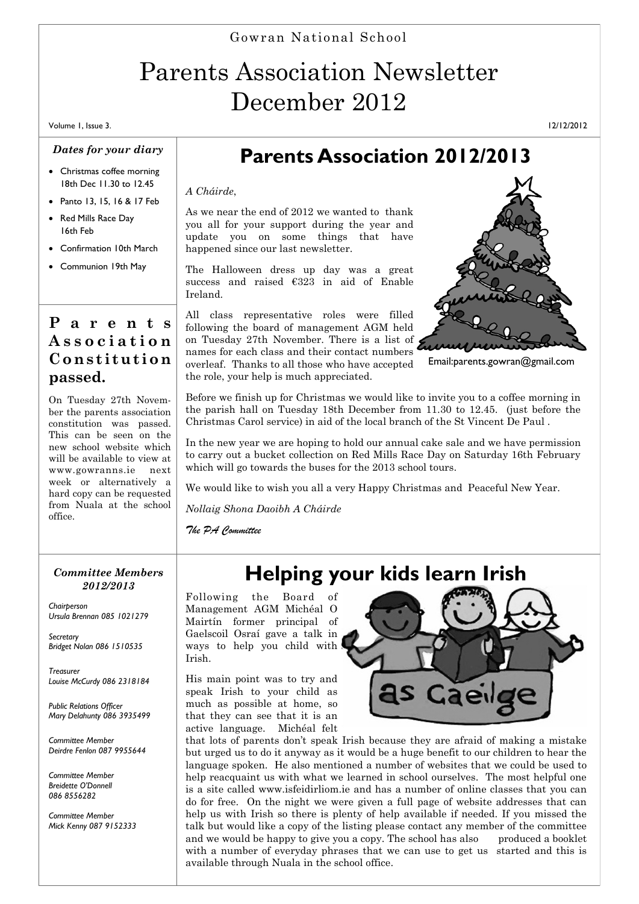Gowran National School

# Parents Association Newsletter December 2012

Volume 1, Issue 3.

### *Dates for your diary*

- Christmas coffee morning 18th Dec 11.30 to 12.45
- Panto 13, 15, 16 & 17 Feb
- Red Mills Race Day 16th Feb
- **Confirmation 10th March**
- Communion 19th May

## **P a r e n t s A s s o c i a t i o n C onst it ut ion passed.**

On Tuesday 27th November the parents association constitution was passed. This can be seen on the new school website which will be available to view at www.gowranns.ie next week or alternatively a hard copy can be requested from Nuala at the school office.

# **Parents Association 2012/2013**

*A Cháirde*,

As we near the end of 2012 we wanted to thank you all for your support during the year and update you on some things that have happened since our last newsletter.

The Halloween dress up day was a great success and raised €323 in aid of Enable Ireland.

All class representative roles were filled following the board of management AGM held on Tuesday 27th November. There is a list of names for each class and their contact numbers overleaf. Thanks to all those who have accepted the role, your help is much appreciated.



12/12/2012

Email:parents.gowran@gmail.com

Before we finish up for Christmas we would like to invite you to a coffee morning in the parish hall on Tuesday 18th December from 11.30 to 12.45. (just before the Christmas Carol service) in aid of the local branch of the St Vincent De Paul .

In the new year we are hoping to hold our annual cake sale and we have permission to carry out a bucket collection on Red Mills Race Day on Saturday 16th February which will go towards the buses for the 2013 school tours.

We would like to wish you all a very Happy Christmas and Peaceful New Year.

*Nollaig Shona Daoibh A Cháirde*

*The PA Committee*

### *Committee Members 2012/2013*

*Chairperson Ursula Brennan 085 1021279*

*Secretary Bridget Nolan 086 1510535* 

*Treasurer Louise McCurdy 086 2318184*

*Public Relations Officer Mary Delahunty 086 3935499*

*Committee Member Deirdre Fenlon 087 9955644*

*Committee Member Breidette O'Donnell 086 8556282*

*Committee Member Mick Kenny 087 9152333*

# **Helping your kids learn Irish**

Following the Board of Management AGM Michéal O Mairtín former principal of Gaelscoil Osraí gave a talk in ways to help you child with Irish.

His main point was to try and speak Irish to your child as much as possible at home, so that they can see that it is an active language. Michéal felt



that lots of parents don't speak Irish because they are afraid of making a mistake but urged us to do it anyway as it would be a huge benefit to our children to hear the language spoken. He also mentioned a number of websites that we could be used to help reacquaint us with what we learned in school ourselves. The most helpful one is a site called www.isfeidirliom.ie and has a number of online classes that you can do for free. On the night we were given a full page of website addresses that can help us with Irish so there is plenty of help available if needed. If you missed the talk but would like a copy of the listing please contact any member of the committee and we would be happy to give you a copy. The school has also produced a booklet with a number of everyday phrases that we can use to get us started and this is available through Nuala in the school office.